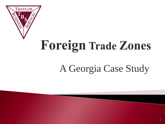

# **Foreign Trade Zones**

# A Georgia Case Study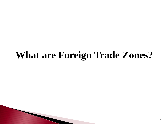# **What are Foreign Trade Zones?**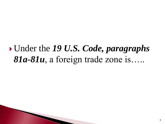## Under the *19 U.S. Code, paragraphs 81a-81u*, a foreign trade zone is…..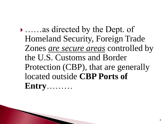……as directed by the Dept. of Homeland Security, Foreign Trade Zones *are secure areas* controlled by the U.S. Customs and Border Protection (CBP), that are generally located outside **CBP Ports of Entry**………

**The Comment of Comment Comment Comment**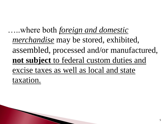…..where both *foreign and domestic merchandise* may be stored, exhibited, assembled, processed and/or manufactured, **not subject** to federal custom duties and excise taxes as well as local and state taxation.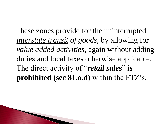These zones provide for the uninterrupted *interstate transit of goods*, by allowing for *value added activities*, again without adding duties and local taxes otherwise applicable. The direct activity of "*retail sales*" is **prohibited (sec 81.o.d)** within the FTZ's.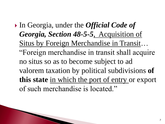In Georgia, under the *Official Code of Georgia, Section 48-5-5*, Acquisition of Situs by Foreign Merchandise in Transit… "Foreign merchandise in transit shall acquire no situs so as to become subject to ad valorem taxation by political subdivisions **of this state** in which the port of entry or export of such merchandise is located."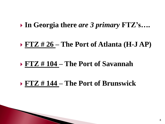#### **In Georgia there** *are 3 primary* **FTZ's….**

#### **FTZ # 26 – The Port of Atlanta (H-J AP)**

#### **FTZ # 104 – The Port of Savannah**

## **FTZ # 144 – The Port of Brunswick**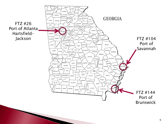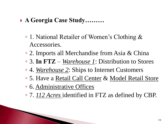#### **A Georgia Case Study………**

- 1. National Retailer of Women's Clothing & Accessories.
- 2. Imports all Merchandise from Asia & China
- 3. **In FTZ**  *Warehouse 1*: Distribution to Stores
- 4. *Warehouse 2*: Ships to Internet Customers
- 5. Have a Retail Call Center & Model Retail Store
- 6. Administrative Offices

The Company of the Company of

◦ 7. *112 Acres* identified in FTZ as defined by CBP.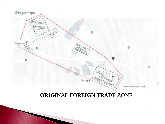

#### **ORIGINAL FOREIGN TRADE ZONE**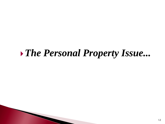## *The Personal Property Issue...*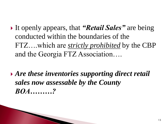- It openly appears, that *"Retail Sales"* are being conducted within the boundaries of the FTZ….which are *strictly prohibited* by the CBP and the Georgia FTZ Association….
- *Are these inventories supporting direct retail sales now assessable by the County BOA………?*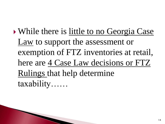While there is little to no Georgia Case Law to support the assessment or exemption of FTZ inventories at retail, here are 4 Case Law decisions or FTZ Rulings that help determine taxability……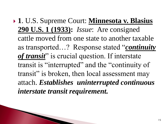**1**. U.S. Supreme Court: **Minnesota v. Blasius 290 U.S. 1 (1933):** *Issue*: Are consigned cattle moved from one state to another taxable as transported…? Response stated "*continuity*  of transit<sup>"</sup> is crucial question. If interstate transit is "interrupted" and the "continuity of transit" is broken, then local assessment may attach. *Establishes uninterrupted continuous interstate transit requirement.*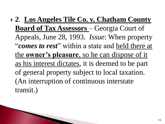**2**. **Los Angeles Tile Co. v. Chatham County Board of Tax Assessors** – Georgia Court of Appeals, June 28, 1993. *Issue*: When property "*comes to rest*" within a state and held there at the **owner's pleasure**, so he can dispose of it as his interest dictates, it is deemed to be part of general property subject to local taxation. (An interruption of continuous interstate transit.)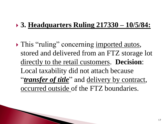## **3. Headquarters Ruling 217330 – 10/5/84:**

• This "ruling" concerning imported autos, stored and delivered from an FTZ storage lot directly to the retail customers. **Decision**: Local taxability did not attach because "*transfer of title*" and delivery by contract, occurred outside of the FTZ boundaries.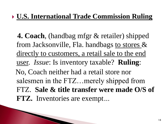## **U.S. International Trade Commission Ruling**

 **4. Coach**, (handbag mfgr & retailer) shipped from Jacksonville, Fla. handbags to stores & directly to customers, a retail sale to the end user. *Issue*: Is inventory taxable? **Ruling**: No, Coach neither had a retail store nor salesmen in the FTZ…merely shipped from FTZ. **Sale & title transfer were made O/S of FTZ.** Inventories are exempt*…*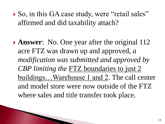▶ So, in this GA case study, were "retail sales" affirmed and did taxability attach?

**Answer:** No. One year after the original 112 acre FTZ was drawn up and approved, *a modification was submitted and approved by CBP limiting the* FTZ boundaries to just 2 buildings...Warehouse 1 and 2. The call center and model store were now outside of the FTZ where sales and title transfer took place.

PARTIES AND RESEARCH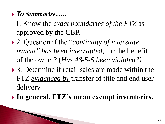*To Summarize…..*

The Contract of the Contract of

- 1. Know the *exact boundaries of the FTZ* as approved by the CBP.
- 2. Question if the "*continuity of interstate transit" has been interrupted*, for the benefit of the owner? (*Has 48-5-5 been violated?)*
- ▶ 3. Determine if retail sales are made within the FTZ *evidenced by* transfer of title and end user delivery.
- **In general, FTZ's mean exempt inventories.**